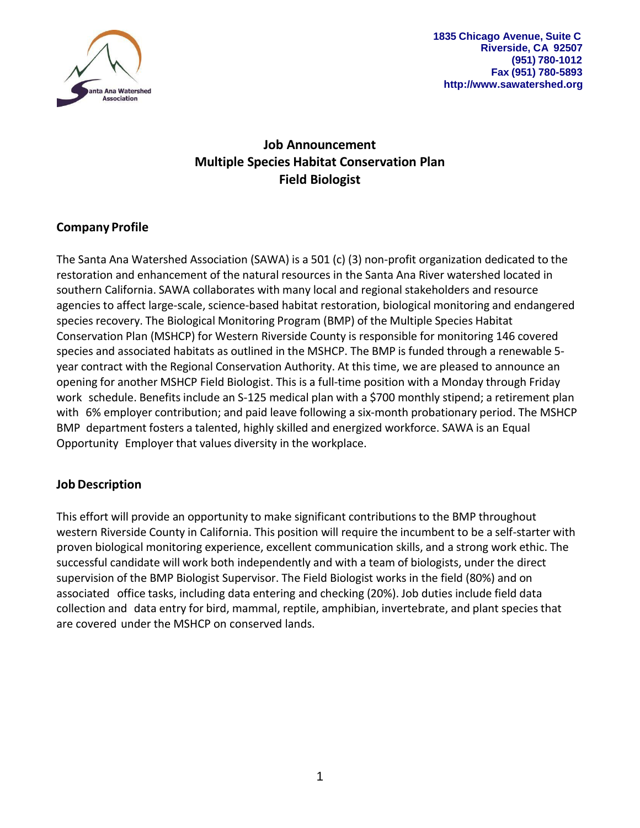

**1835 Chicago Avenue, Suite C Riverside, CA 92507 (951) 780-1012 Fax (951) 780-5893 [http://www.sawatershed.org](http://www.sawatershed.org/)**

# **Job Announcement Multiple Species Habitat Conservation Plan Field Biologist**

## **Company Profile**

The Santa Ana Watershed Association (SAWA) is a 501 (c) (3) non-profit organization dedicated to the restoration and enhancement of the natural resources in the Santa Ana River watershed located in southern California. SAWA collaborates with many local and regional stakeholders and resource agencies to affect large-scale, science-based habitat restoration, biological monitoring and endangered species recovery. The Biological Monitoring Program (BMP) of the Multiple Species Habitat Conservation Plan (MSHCP) for Western Riverside County is responsible for monitoring 146 covered species and associated habitats as outlined in the MSHCP. The BMP is funded through a renewable 5 year contract with the Regional Conservation Authority. At this time, we are pleased to announce an opening for another MSHCP Field Biologist. This is a full-time position with a Monday through Friday work schedule. Benefitsinclude an S-125 medical plan with a \$700 monthly stipend; a retirement plan with 6% employer contribution; and paid leave following a six-month probationary period. The MSHCP BMP department fosters a talented, highly skilled and energized workforce. SAWA is an Equal Opportunity Employer that values diversity in the workplace.

## **Job Description**

This effort will provide an opportunity to make significant contributions to the BMP throughout western Riverside County in California. This position will require the incumbent to be a self-starter with proven biological monitoring experience, excellent communication skills, and a strong work ethic. The successful candidate will work both independently and with a team of biologists, under the direct supervision of the BMP Biologist Supervisor. The Field Biologist works in the field (80%) and on associated office tasks, including data entering and checking (20%). Job duties include field data collection and data entry for bird, mammal, reptile, amphibian, invertebrate, and plant species that are covered under the MSHCP on conserved lands.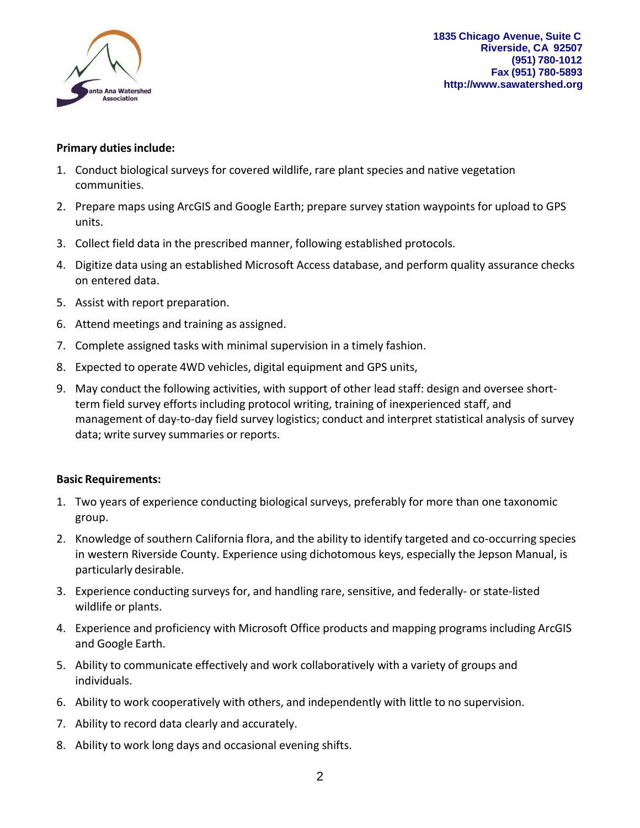

**1835 Chicago Avenue, Suite C Riverside, CA 92507 (951) 780-1012 Fax (951) 780-5893 [http://www.sawatershed.org](http://www.sawatershed.org/)**

## **Primary duties include:**

- 1. Conduct biological surveys for covered wildlife, rare plant species and native vegetation communities.
- 2. Prepare maps using ArcGIS and Google Earth; prepare survey station waypoints for upload to GPS units.
- 3. Collect field data in the prescribed manner, following established protocols.
- 4. Digitize data using an established Microsoft Access database, and perform quality assurance checks on entered data.
- 5. Assist with report preparation.
- 6. Attend meetings and training as assigned.
- 7. Complete assigned tasks with minimal supervision in a timely fashion.
- 8. Expected to operate 4WD vehicles, digital equipment and GPS units,
- 9. May conduct the following activities, with support of other lead staff: design and oversee shortterm field survey efforts including protocol writing, training of inexperienced staff, and management of day-to-day field survey logistics; conduct and interpret statistical analysis of survey data; write survey summaries or reports.

### **Basic Requirements:**

- 1. Two years of experience conducting biological surveys, preferably for more than one taxonomic group.
- 2. Knowledge of southern California flora, and the ability to identify targeted and co-occurring species in western Riverside County. Experience using dichotomous keys, especially the Jepson Manual, is particularly desirable.
- 3. Experience conducting surveys for, and handling rare, sensitive, and federally- or state-listed wildlife or plants.
- 4. Experience and proficiency with Microsoft Office products and mapping programs including ArcGIS and Google Earth.
- 5. Ability to communicate effectively and work collaboratively with a variety of groups and individuals.
- 6. Ability to work cooperatively with others, and independently with little to no supervision.
- 7. Ability to record data clearly and accurately.
- 8. Ability to work long days and occasional evening shifts.